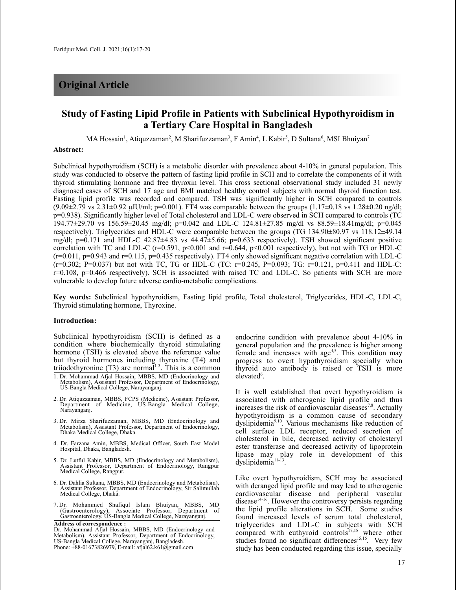# **Original Article**

# **Study of Fasting Lipid Profile in Patients with Subclinical Hypothyroidism in a Tertiary Care Hospital in Bangladesh**

MA Hossain<sup>1</sup>, Atiquzzaman<sup>2</sup>, M Sharifuzzaman<sup>3</sup>, F Amin<sup>4</sup>, L Kabir<sup>5</sup>, D Sultana<sup>6</sup>, MSI Bhuiyan<sup>7</sup>

# **Abstract:**

Subclinical hypothyroidism (SCH) is a metabolic disorder with prevalence about 4-10% in general population. This study was conducted to observe the pattern of fasting lipid profile in SCH and to correlate the components of it with thyroid stimulating hormone and free thyroxin level. This cross sectional observational study included 31 newly diagnosed cases of SCH and 17 age and BMI matched healthy control subjects with normal thyroid function test. Fasting lipid profile was recorded and compared. TSH was significantly higher in SCH compared to controls  $(9.09\pm2.79 \text{ vs } 2.31\pm0.92 \text{ µIU/ml}; \text{p=0.001}).$  FT4 was comparable between the groups  $(1.17\pm0.18 \text{ vs } 1.28\pm0.20 \text{ ng/d}!)$ p=0.938). Significantly higher level of Total cholesterol and LDL-C were observed in SCH compared to controls (TC 194.77±29.70 vs 156.59±20.45 mg/dl; p=0.042 and LDL-C 124.81±27.85 mg/dl vs 88.59±18.41mg/dl; p=0.045 respectively). Triglycerides and HDL-C were comparable between the groups (TG 134.90±80.97 vs 118.12±49.14 mg/dl; p=0.171 and HDL-C 42.87±4.83 vs 44.47±5.66; p=0.633 respectively). TSH showed significant positive correlation with TC and LDL-C ( $r=0.591$ ,  $p<0.001$  and  $r=0.644$ ,  $p<0.001$  respectively), but not with TG or HDL-C  $(r=0.011, p=0.943$  and  $r=0.115, p=0.435$  respectively). FT4 only showed significant negative correlation with LDL-C  $(r=0.302; P=0.037)$  but not with TC, TG or HDL-C (TC:  $r=0.245$ , P=0.093; TG:  $r=0.121$ , p=0.411 and HDL-C: r=0.108, p=0.466 respectively). SCH is associated with raised TC and LDL-C. So patients with SCH are more vulnerable to develop future adverse cardio-metabolic complications.

**Key words:** Subclinical hypothyroidism, Fasting lipid profile, Total cholesterol, Triglycerides, HDL-C, LDL-C, Thyroid stimulating hormone, Thyroxine.

## **Introduction:**

Subclinical hypothyroidism (SCH) is defined as a condition where biochemically thyroid stimulating hormone (TSH) is elevated above the reference value but thyroid hormones including thyroxine (T4) and triiodothyronine  $(T3)$  are normal<sup>1-3</sup>. This is a common

- 2. Dr. Atiquzzaman, MBBS, FCPS (Medicine), Assistant Professor, Department of Medicine, US-Bangla Medical College, Narayanganj.
- 3. Dr. Mirza Sharifuzzaman, MBBS, MD (Endocrinology and Metabolism), Assistant Professor, Department of Endocrinology, Dhaka Medical College, Dhaka.
- 4. Dr. Farzana Amin, MBBS, Medical Officer, South East Model Hospital, Dhaka, Bangladesh.
- 5. Dr. Lutful Kabir, MBBS, MD (Endocrinology and Metabolism), Assistant Professor, Department of Endocrinology, Rangpur Medical College, Rangpur.
- 6. Dr. Dahlia Sultana, MBBS, MD (Endocrinology and Metabolism), Assistant Professor, Department of Endocrinology, Sir Salimullah Medical College, Dhaka.
- 7. Dr. Mohammed Shafiqul Islam Bhuiyan, MBBS, MD (Gastroenterology), Associate Professor, Department of Gastroenterology, US-Bangla Medical College, Narayanganj.

**Address of correspondence :** Dr. Mohammad Afjal Hossain, MBBS, MD (Endocrinology and Metabolism), Assistant Professor, Department of Endocrinology, US-Bangla Medical College, Narayanganj, Bangladesh. Phone: +88-01673826979, E-mail: afjal62.k61@gmail.com

endocrine condition with prevalence about 4-10% in general population and the prevalence is higher among female and increases with age<sup>4,5</sup>. This condition may progress to overt hypothyroidism specially when thyroid auto antibody is raised or TSH is more elevated<sup>6</sup>.

It is well established that overt hypothyroidism is associated with atherogenic lipid profile and thus increases the risk of cardiovascular diseases<sup>7,8</sup>. Actually hypothyroidism is a common cause of secondary dyslipidemia<sup>9,10</sup>. Various mechanisms like reduction of cell surface LDL receptor, reduced secretion of cholesterol in bile, decreased activity of cholesteryl ester transferase and decreased activity of lipoprotein lipase may play role in development of this dyslipidemia<sup>11-13</sup>.

Like overt hypothyroidism, SCH may be associated with deranged lipid profile and may lead to atherogenic cardiovascular disease and peripheral vascular disease<sup>14-16</sup>. However the controversy persists regarding the lipid profile alterations in SCH. Some studies found increased levels of serum total cholesterol, triglycerides and LDL-C in subjects with SCH compared with euthyroid controls<sup>17,18</sup> where other studies found no significant differences<sup>15,16</sup>. Very few study has been conducted regarding this issue, specially

<sup>1.</sup> Dr. Mohammad Afjal Hossain, MBBS, MD (Endocrinology and Metabolism), Assistant Professor, Department of Endocrinology, US-Bangla Medical College, Narayanganj.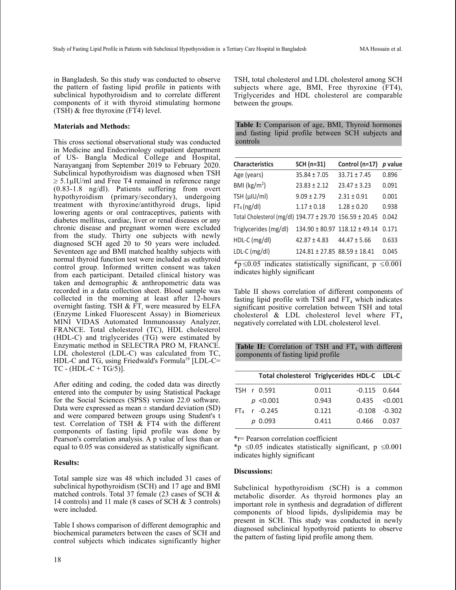in Bangladesh. So this study was conducted to observe the pattern of fasting lipid profile in patients with subclinical hypothyroidism and to correlate different components of it with thyroid stimulating hormone (TSH) & free thyroxine (FT4) level.

### **Materials and Methods:**

This cross sectional observational study was conducted in Medicine and Endocrinology outpatient department of US- Bangla Medical College and Hospital, Narayanganj from September 2019 to February 2020. Subclinical hypothyroidism was diagnosed when TSH  $\geq 5.1 \mu$ IU/ml and Free T4 remained in reference range (0.83-1.8 ng/dl). Patients suffering from overt hypothyroidism (primary/secondary), undergoing treatment with thyroxine/antithyroid drugs, lipid lowering agents or oral contraceptives, patients with diabetes mellitus, cardiac, liver or renal diseases or any chronic disease and pregnant women were excluded from the study. Thirty one subjects with newly diagnosed SCH aged 20 to 50 years were included. Seventeen age and BMI matched healthy subjects with normal thyroid function test were included as euthyroid control group. Informed written consent was taken from each participant. Detailed clinical history was taken and demographic & anthropometric data was recorded in a data collection sheet. Blood sample was collected in the morning at least after 12-hours overnight fasting. TSH  $&$  FT<sub>4</sub> were measured by ELFA (Enzyme Linked Fluorescent Assay) in Biomerieux MINI VIDAS Automated Immunoassay Analyzer, FRANCE. Total cholesterol (TC), HDL cholesterol (HDL-C) and triglycerides (TG) were estimated by Enzymatic method in SELECTRA PRO M, FRANCE. LDL cholesterol (LDL-C) was calculated from TC, HDL-C and TG, using Friedwald's Formula<sup>19</sup> [LDL-C=  $TC - (HDL-C + TG/5)$ ].

After editing and coding, the coded data was directly entered into the computer by using Statistical Package for the Social Sciences (SPSS) version 22.0 software. Data were expressed as mean  $\pm$  standard deviation (SD) and were compared between groups using Student's t test. Correlation of TSH & FT4 with the different components of fasting lipid profile was done by Pearson's correlation analysis. A p value of less than or equal to 0.05 was considered as statistically significant.

### **Results:**

Total sample size was 48 which included 31 cases of subclinical hypothyroidism (SCH) and 17 age and BMI matched controls. Total 37 female (23 cases of SCH & 14 controls) and 11 male (8 cases of SCH & 3 controls) were included.

Table I shows comparison of different demographic and biochemical parameters between the cases of SCH and control subjects which indicates significantly higher TSH, total cholesterol and LDL cholesterol among SCH subjects where age, BMI, Free thyroxine (FT4), Triglycerides and HDL cholesterol are comparable between the groups.

| Table I: Comparison of age, BMI, Thyroid hormones |  |  |  |                                                    |  |  |  |  |  |
|---------------------------------------------------|--|--|--|----------------------------------------------------|--|--|--|--|--|
|                                                   |  |  |  | and fasting lipid profile between SCH subjects and |  |  |  |  |  |
| controls                                          |  |  |  |                                                    |  |  |  |  |  |

| <b>Characteristics</b>                                  | SCH (n=31)                            | Control (n=17)   | p value |
|---------------------------------------------------------|---------------------------------------|------------------|---------|
| Age (years)                                             | $35.84 \pm 7.05$                      | $33.71 \pm 7.45$ | 0.896   |
| BMI ( $\text{kg/m}^2$ )                                 | $23.83 \pm 2.12$                      | $23.47 \pm 3.23$ | 0.091   |
| TSH (µIU/ml)                                            | $9.09 \pm 2.79$                       | $2.31 \pm 0.91$  | 0.001   |
| $FT_4$ (ng/dl)                                          | $1.17 \pm 0.18$                       | $1.28 + 0.20$    | 0.938   |
| Total Cholesterol (mg/dl) 194.77 ± 29.70 156.59 ± 20.45 |                                       |                  | 0.042   |
| Triglycerides (mg/dl)                                   | $134.90 \pm 80.97$ 118.12 $\pm$ 49.14 |                  | 0.171   |
| $HDL-C$ (mg/dl)                                         | $42.87 \pm 4.83$                      | $44.47 \pm 5.66$ | 0.633   |
| $LDL-C (mg/dl)$                                         | $124.81 \pm 27.85$ 88.59 ± 18.41      |                  | 0.045   |

\*p  $\leq$ 0.05 indicates statistically significant, p  $\leq$ 0.001 indicates highly significant

Table II shows correlation of different components of fasting lipid profile with TSH and  $FT_4$  which indicates significant positive correlation between TSH and total cholesterol & LDL cholesterol level where  $FT_4$ negatively correlated with LDL cholesterol level.

**Table II:** Correlation of TSH and  $FT_4$  with different components of fasting lipid profile

|  | Total cholesterol Triglycerides HDL-C LDL-C |       |                       |  |
|--|---------------------------------------------|-------|-----------------------|--|
|  | TSH r 0.591                                 | 0.011 | $-0.115$ $0.644$      |  |
|  | $p \, < \, 0.001$                           | 0.943 | $0.435 \quad < 0.001$ |  |
|  | $FT_4$ r -0.245                             | 0.121 | $-0.108 - 0.302$      |  |
|  | $p_{0.093}$                                 | 0.411 | 0.466 0.037           |  |
|  |                                             |       |                       |  |

\*r= Pearson correlation coefficient

\*p  $\leq 0.05$  indicates statistically significant, p  $\leq 0.001$ indicates highly significant

#### **Discussions:**

Subclinical hypothyroidism (SCH) is a common metabolic disorder. As thyroid hormones play an important role in synthesis and degradation of different components of blood lipids, dyslipidemia may be present in SCH. This study was conducted in newly diagnosed subclinical hypothyroid patients to observe the pattern of fasting lipid profile among them.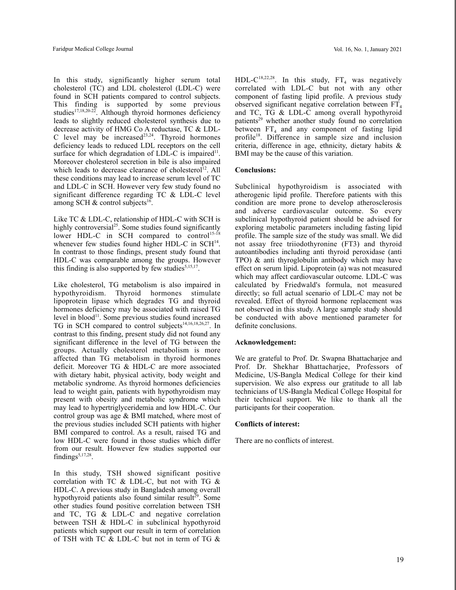In this study, significantly higher serum total cholesterol (TC) and LDL cholesterol (LDL-C) were found in SCH patients compared to control subjects. This finding is supported by some previous studies<sup>17,18,20-22</sup>. Although thyroid hormones deficiency leads to slightly reduced cholesterol synthesis due to decrease activity of HMG Co A reductase, TC & LDL-C level may be increased $^{23,24}$ . Thyroid hormones deficiency leads to reduced LDL receptors on the cell surface for which degradation of LDL-C is impaired<sup>11</sup>. Moreover cholesterol secretion in bile is also impaired which leads to decrease clearance of cholesterol<sup>12</sup>. All these conditions may lead to increase serum level of TC and LDL-C in SCH. However very few study found no significant difference regarding TC & LDL-C level among SCH & control subjects<sup>16</sup>.

Like TC & LDL-C, relationship of HDL-C with SCH is highly controversial<sup>25</sup>. Some studies found significantly lower HDL-C in SCH compared to control<sup>15-18</sup> whenever few studies found higher HDL-C in  $SCH<sup>14</sup>$ . In contrast to those findings, present study found that HDL-C was comparable among the groups. However this finding is also supported by few studies $5,15,17$ .

Like cholesterol, TG metabolism is also impaired in hypothyroidism. Thyroid hormones stimulate lipoprotein lipase which degrades TG and thyroid hormones deficiency may be associated with raised TG level in blood<sup>11</sup>. Some previous studies found increased TG in SCH compared to control subjects 14,16,18,26,27 . In contrast to this finding, present study did not found any significant difference in the level of TG between the groups. Actually cholesterol metabolism is more affected than TG metabolism in thyroid hormones deficit. Moreover TG & HDL-C are more associated with dietary habit, physical activity, body weight and metabolic syndrome. As thyroid hormones deficiencies lead to weight gain, patients with hypothyroidism may present with obesity and metabolic syndrome which may lead to hypertriglyceridemia and low HDL-C. Our control group was age & BMI matched, where most of the previous studies included SCH patients with higher BMI compared to control. As a result, raised TG and low HDL-C were found in those studies which differ from our result. However few studies supported our findings<sup>5,17,28</sup>.

In this study, TSH showed significant positive correlation with TC & LDL-C, but not with TG & HDL-C. A previous study in Bangladesh among overall hypothyroid patients also found similar result<sup>29</sup>. Some other studies found positive correlation between TSH and TC, TG & LDL-C and negative correlation between TSH & HDL-C in subclinical hypothyroid patients which support our result in term of correlation of TSH with TC & LDL-C but not in term of TG &

HDL-C<sup>18,22,28</sup>. In this study,  $FT_4$  was negatively correlated with LDL-C but not with any other component of fasting lipid profile. A previous study observed significant negative correlation between  $FT_4$ and TC, TG & LDL-C among overall hypothyroid patients<sup>29</sup> whether another study found no correlation between  $FT_4$  and any component of fasting lipid profile<sup>18</sup>. Difference in sample size and inclusion criteria, difference in age, ethnicity, dietary habits & BMI may be the cause of this variation.

# **Conclusions:**

Subclinical hypothyroidism is associated with atherogenic lipid profile. Therefore patients with this condition are more prone to develop atherosclerosis and adverse cardiovascular outcome. So every subclinical hypothyroid patient should be advised for exploring metabolic parameters including fasting lipid profile. The sample size of the study was small. We did not assay free triiodothyronine (FT3) and thyroid autoantibodies including anti thyroid peroxidase (anti TPO) & anti thyroglobulin antibody which may have effect on serum lipid. Lipoprotein (a) was not measured which may affect cardiovascular outcome. LDL-C was calculated by Friedwald's formula, not measured directly; so full actual scenario of LDL-C may not be revealed. Effect of thyroid hormone replacement was not observed in this study. A large sample study should be conducted with above mentioned parameter for definite conclusions.

# **Acknowledgement:**

We are grateful to Prof. Dr. Swapna Bhattacharjee and Prof. Dr. Shekhar Bhattacharjee, Professors of Medicine, US-Bangla Medical College for their kind supervision. We also express our gratitude to all lab technicians of US-Bangla Medical College Hospital for their technical support. We like to thank all the participants for their cooperation.

# **Conflicts of interest:**

There are no conflicts of interest.